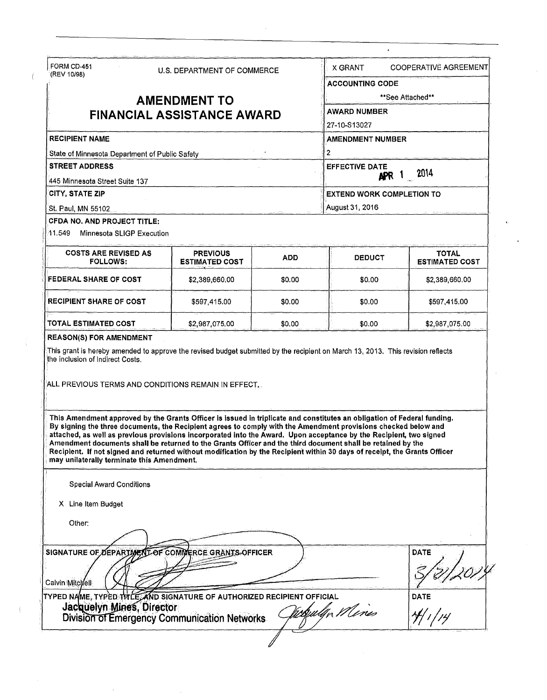| FORM CD-451                                                                                                                         |                                                                                                                                                                                                                                                                                                                                                                                                                                                                                                                                                                                                             |            | X GRANT                                                 | <b>COOPERATIVE AGREEMENT</b>          |                         |
|-------------------------------------------------------------------------------------------------------------------------------------|-------------------------------------------------------------------------------------------------------------------------------------------------------------------------------------------------------------------------------------------------------------------------------------------------------------------------------------------------------------------------------------------------------------------------------------------------------------------------------------------------------------------------------------------------------------------------------------------------------------|------------|---------------------------------------------------------|---------------------------------------|-------------------------|
| U.S. DEPARTMENT OF COMMERCE<br>(REV 10/98)                                                                                          |                                                                                                                                                                                                                                                                                                                                                                                                                                                                                                                                                                                                             |            | <b>ACCOUNTING CODE</b>                                  |                                       |                         |
|                                                                                                                                     |                                                                                                                                                                                                                                                                                                                                                                                                                                                                                                                                                                                                             |            |                                                         |                                       |                         |
| <b>AMENDMENT TO</b><br><b>FINANCIAL ASSISTANCE AWARD</b><br><b>RECIPIENT NAME</b><br>State of Minnesota Department of Public Safety |                                                                                                                                                                                                                                                                                                                                                                                                                                                                                                                                                                                                             |            | **See Attached**<br><b>AWARD NUMBER</b><br>27-10-S13027 |                                       |                         |
|                                                                                                                                     |                                                                                                                                                                                                                                                                                                                                                                                                                                                                                                                                                                                                             |            |                                                         |                                       | <b>AMENDMENT NUMBER</b> |
|                                                                                                                                     |                                                                                                                                                                                                                                                                                                                                                                                                                                                                                                                                                                                                             |            | 2                                                       |                                       |                         |
|                                                                                                                                     |                                                                                                                                                                                                                                                                                                                                                                                                                                                                                                                                                                                                             |            | <b>STREET ADDRESS</b>                                   |                                       |                         |
| 445 Minnesota Street Suite 137                                                                                                      |                                                                                                                                                                                                                                                                                                                                                                                                                                                                                                                                                                                                             |            | APR 1 2014                                              |                                       |                         |
| CITY, STATE ZIP                                                                                                                     |                                                                                                                                                                                                                                                                                                                                                                                                                                                                                                                                                                                                             |            | <b>EXTEND WORK COMPLETION TO</b>                        |                                       |                         |
| St. Paul, MN 55102                                                                                                                  |                                                                                                                                                                                                                                                                                                                                                                                                                                                                                                                                                                                                             |            | August 31, 2016                                         |                                       |                         |
| CFDA NO. AND PROJECT TITLE:                                                                                                         |                                                                                                                                                                                                                                                                                                                                                                                                                                                                                                                                                                                                             |            |                                                         |                                       |                         |
| 11.549<br>Minnesota SLIGP Execution                                                                                                 |                                                                                                                                                                                                                                                                                                                                                                                                                                                                                                                                                                                                             |            |                                                         |                                       |                         |
| <b>COSTS ARE REVISED AS</b><br><b>FOLLOWS:</b>                                                                                      | <b>PREVIOUS</b><br><b>ESTIMATED COST</b>                                                                                                                                                                                                                                                                                                                                                                                                                                                                                                                                                                    | <b>ADD</b> | <b>DEDUCT</b>                                           | <b>TOTAL</b><br><b>ESTIMATED COST</b> |                         |
| <b>FEDERAL SHARE OF COST</b>                                                                                                        | \$2,389,660,00                                                                                                                                                                                                                                                                                                                                                                                                                                                                                                                                                                                              | \$0.00     | \$0.00                                                  | \$2,389,660.00                        |                         |
| <b>RECIPIENT SHARE OF COST</b>                                                                                                      | \$597,415.00                                                                                                                                                                                                                                                                                                                                                                                                                                                                                                                                                                                                | \$0.00     | \$0.00                                                  | \$597,415.00                          |                         |
|                                                                                                                                     |                                                                                                                                                                                                                                                                                                                                                                                                                                                                                                                                                                                                             |            |                                                         |                                       |                         |
|                                                                                                                                     | \$2,987,075.00<br>This grant is hereby amended to approve the revised budget submitted by the recipient on March 13, 2013. This revision reflects                                                                                                                                                                                                                                                                                                                                                                                                                                                           | \$0.00     | \$0.00                                                  | \$2,987,075.00                        |                         |
| TOTAL ESTIMATED COST<br><b>REASON(S) FOR AMENDMENT</b><br>the inclusion of Indirect Costs.                                          |                                                                                                                                                                                                                                                                                                                                                                                                                                                                                                                                                                                                             |            |                                                         |                                       |                         |
|                                                                                                                                     | ALL PREVIOUS TERMS AND CONDITIONS REMAIN IN EFFECT.                                                                                                                                                                                                                                                                                                                                                                                                                                                                                                                                                         |            |                                                         |                                       |                         |
| may unilaterally terminate this Amendment,                                                                                          | This Amendment approved by the Grants Officer is issued in triplicate and constitutes an obligation of Federal funding.<br>By signing the three documents, the Recipient agrees to comply with the Amendment provisions checked below and<br>attached, as well as previous provisions incorporated into the Award. Upon acceptance by the Recipient, two signed<br>Amendment documents shall be returned to the Grants Officer and the third document shall be retained by the<br>Recipient. If not signed and returned without modification by the Recipient within 30 days of receipt, the Grants Officer |            |                                                         |                                       |                         |
| <b>Special Award Conditions</b>                                                                                                     |                                                                                                                                                                                                                                                                                                                                                                                                                                                                                                                                                                                                             |            |                                                         |                                       |                         |
| X Line Item Budget                                                                                                                  |                                                                                                                                                                                                                                                                                                                                                                                                                                                                                                                                                                                                             |            |                                                         |                                       |                         |
| Other:                                                                                                                              |                                                                                                                                                                                                                                                                                                                                                                                                                                                                                                                                                                                                             |            |                                                         |                                       |                         |
|                                                                                                                                     |                                                                                                                                                                                                                                                                                                                                                                                                                                                                                                                                                                                                             |            |                                                         |                                       |                         |
|                                                                                                                                     | SIGNATURE OF DEPARTMENT OF COMMERCE GRANTS OFFICER                                                                                                                                                                                                                                                                                                                                                                                                                                                                                                                                                          |            |                                                         | DATE                                  |                         |
|                                                                                                                                     |                                                                                                                                                                                                                                                                                                                                                                                                                                                                                                                                                                                                             |            |                                                         |                                       |                         |
| Calvin Mitchell                                                                                                                     | TYPED NAME, TYPED TITLE, AND SIGNATURE OF AUTHORIZED RECIPIENT OFFICIAL                                                                                                                                                                                                                                                                                                                                                                                                                                                                                                                                     |            |                                                         | <b>DATE</b>                           |                         |

 $\bar{\mathbf{z}}$